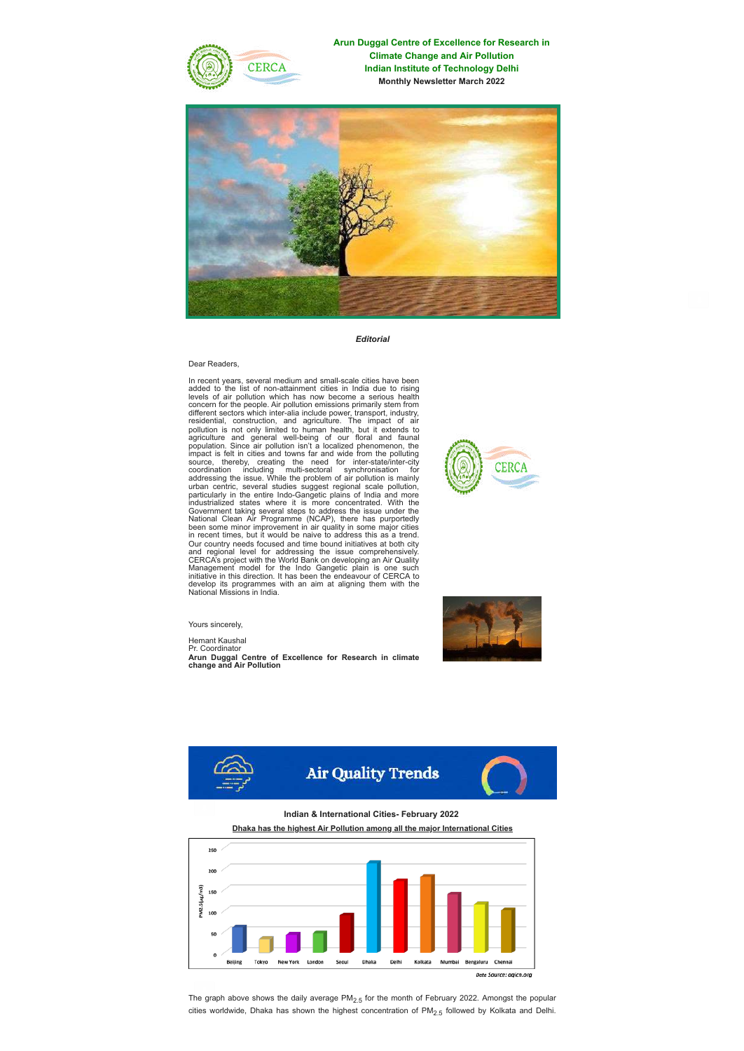

**Arun Duggal Centre of Excellence for Research in Climate Change and Air Pollution Indian Institute of Technology Delhi Monthly Newsletter March 2022**



*Editorial*

## Dear Readers,

In recent years, several medium and small-scale cities have been<br>added to the list of non-attainment cities in India due to rising<br>levels of air pollution which has now become a serious health<br>concern for the people. Air p in recent times, but it would be naive to address this as a trend.<br>Our country needs focused and time bound initiatives at both city<br>and regional level for addressing the issue comprehensively.<br>CERCA's project with the Wor



Yours sincerely,

Hemant Kaushal Pr. Coordinator

**Arun Duggal Centre of Excellence for Research in climate change and Air Pollution**



**Indian & International Cities- February 2022**

**Dhaka has the highest Air Pollution among all the major International Cities**



The graph above shows the daily average  $PM<sub>2.5</sub>$  for the month of February 2022. Amongst the popular cities worldwide, Dhaka has shown the highest concentration of  $PM<sub>2.5</sub>$  followed by Kolkata and Delhi.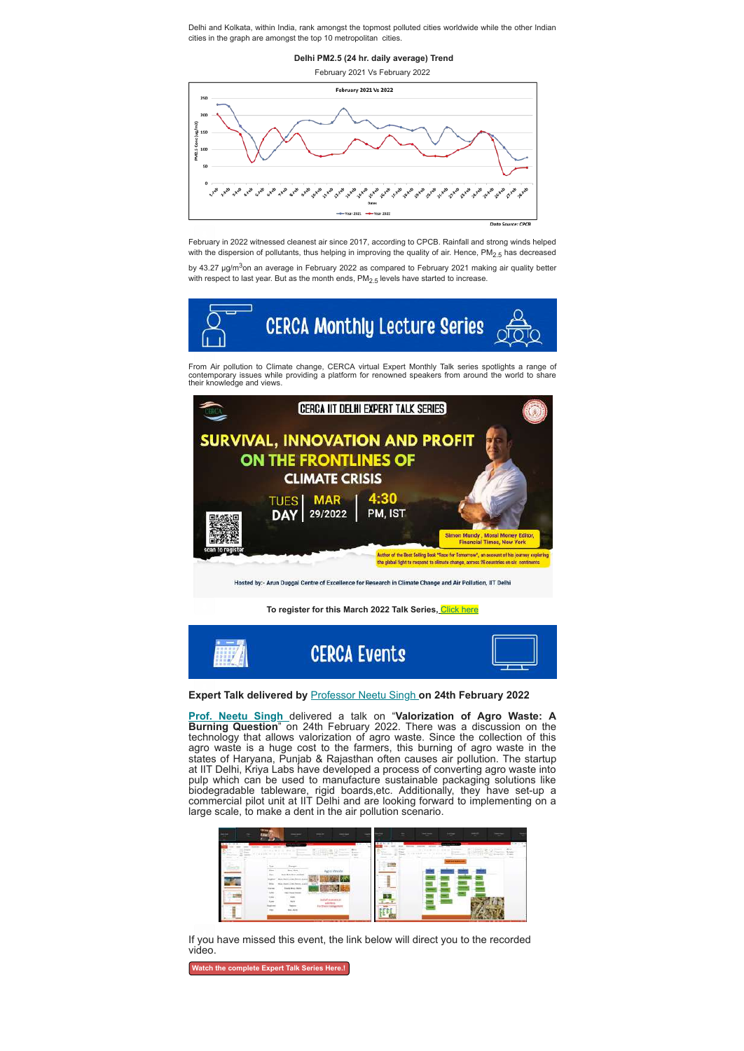Delhi and Kolkata, within India, rank amongst the topmost polluted cities worldwide while the other Indian cities in the graph are amongst the top 10 metropolitan cities.

**Delhi PM2.5 (24 hr. daily average) Trend**

February 2021 Vs February 2022



February in 2022 witnessed cleanest air since 2017, according to CPCB. Rainfall and strong winds helped with the dispersion of pollutants, thus helping in improving the quality of air. Hence, PM<sub>2.5</sub> has decreased

by 43.27 µg/m<sup>3</sup>on an average in February 2022 as compared to February 2021 making air quality better with respect to last year. But as the month ends,  $PM_{2.5}$  levels have started to increase.



From Air pollution to Climate change, CERCA virtual Expert Monthly Talk series spotlights a range of<br>contemporary issues while providing a platform for renowned speakers from around the world to share<br>their knowledge and v



**To register for this March 2022 Talk Series,** [Click here](https://docs.google.com/forms/d/15BbS1p4QIoWGg5Nzwp_HOcBAFwdEIONcI3Ar9CC87j8/edit)



## **Expert Talk delivered by** [Professor Neetu Singh](https://web.iitd.ac.in/~sneetu/) **on 24th February 2022**

**[Prof. Neetu Singh](https://web.iitd.ac.in/~sneetu/)** delivered a talk on "**Valorization of Agro Waste: A Burning Question**" on 24th February 2022. There was a discussion on the technology that allows valorization of agro waste. Since the collection of this agro waste is a huge cost to the farmers, this burning of agro waste in the states of Haryana, Punjab & Rajasthan often causes air pollution. The startup at IIT Delhi, Kriya Labs have developed a process of converting agro waste into pulp which can be used to manufacture sustainable packaging solutions like biodegradable tableware, rigid boards,etc. Additionally, they have set-up a commercial pilot unit at IIT Delhi and are looking forward to implementing on a large scale, to make a dent in the air pollution scenario.

| ٠<br>- |                                                                                                                                                                                                                                                                                                                                                                                                                                                                                                                             | --<br>÷                                                             | tetan<br><b>Send even</b>                                                                           |      |  |
|--------|-----------------------------------------------------------------------------------------------------------------------------------------------------------------------------------------------------------------------------------------------------------------------------------------------------------------------------------------------------------------------------------------------------------------------------------------------------------------------------------------------------------------------------|---------------------------------------------------------------------|-----------------------------------------------------------------------------------------------------|------|--|
|        | <b>CONTRACTOR</b><br>$\overline{\phantom{a}}$<br>___<br>$\{0\leq \alpha<\alpha\leq \alpha\leq \alpha\leq 0\}\in \mathcal{C}^{\infty}(\mathcal{C}^{\infty}(\mathcal{C}^{\infty}(\mathcal{C}^{\infty}(\mathcal{C}^{\infty}(\mathcal{C}^{\infty}(\mathcal{C}^{\infty}(\mathcal{C}^{\infty}(\mathcal{C}^{\infty}(\mathcal{C}^{\infty}(\mathcal{C}^{\infty}(\mathcal{C}^{\infty}(\mathcal{C}^{\infty}(\mathcal{C}^{\infty}(\mathcal{C}^{\infty}(\mathcal{C}^{\infty}(\mathcal{C}^{\infty}(\mathcal{$<br><b>Crains of Library</b> | $1 - 1$<br>$\sim$                                                   | <b>CONTRACTOR</b><br><b>TEFFER</b><br>THE WAY IS THE ROLL FOR THE TANK OF<br>A chandom in Scribe in | an n |  |
|        | <br>Winn<br>tion this.<br><b>Book, Book, Grow and Sank</b><br><b>Bancridge Service Laws</b>                                                                                                                                                                                                                                                                                                                                                                                                                                 | aren Wilshire                                                       |                                                                                                     |      |  |
|        | <b>Banchille, Sound James</b><br><b>Card Box Andre</b><br><b>Carmel</b><br><b>At that Energy</b><br><b>Color</b><br>œ<br>u,<br>Worker.                                                                                                                                                                                                                                                                                                                                                                                      | School Council in Section<br><b>SILL AVE</b><br>Ltd, of economic at |                                                                                                     |      |  |
|        | $\sim$<br>Trypond<br>Mar.                                                                                                                                                                                                                                                                                                                                                                                                                                                                                                   | <b>Tor Merk Konstanced</b><br><b><i>CONTRACTOR</i></b>              |                                                                                                     |      |  |

If you have missed this event, the link below will direct you to the recorded video.

**[Watch the complete Expert Talk Series Here.!](https://www.youtube.com/watch?v=4MXlbEQi1QA)**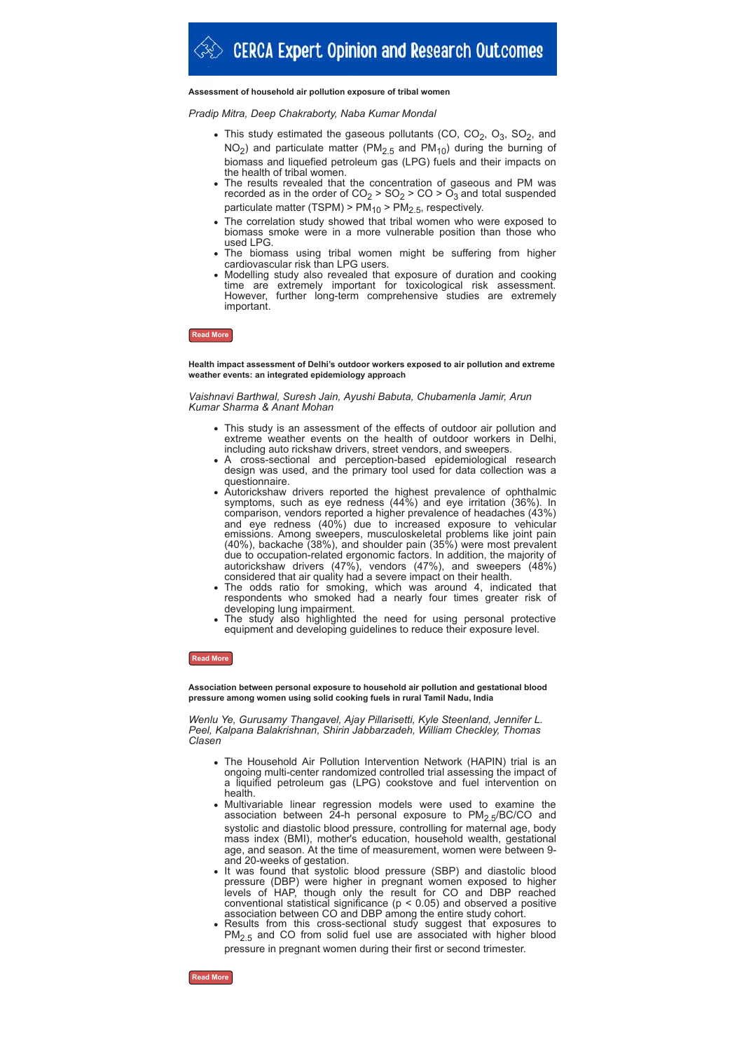# **Assessment of household air pollution exposure of tribal women**

# *Pradip Mitra, Deep Chakraborty, Naba Kumar Mondal*

- This study estimated the gaseous pollutants (CO, CO<sub>2</sub>, O<sub>3</sub>, SO<sub>2</sub>, and  $NO<sub>2</sub>$ ) and particulate matter (PM<sub>2.5</sub> and PM<sub>10</sub>) during the burning of biomass and liquefied petroleum gas (LPG) fuels and their impacts on the health of tribal women.
- The results revealed that the concentration of gaseous and PM was recorded as in the order of CO $_2$  > SO $_2$  > CO > O $_3$  and total suspended particulate matter (TSPM) >  $\mathsf{PM}_{10}$  >  $\mathsf{PM}_{2.5}$ , respectively.
- The correlation study showed that tribal women who were exposed to biomass smoke were in a more vulnerable position than those who used LPG.
- The biomass using tribal women might be suffering from higher cardiovascular risk than LPG users.
- Modelling study also revealed that exposure of duration and cooking time are extremely important for toxicological risk assessment. However, further long-term comprehensive studies are extremely important.

## **[Read More](https://www.sciencedirect.com/science/article/pii/S0048969721079481)**

**Health impact assessment of Delhi's outdoor workers exposed to air pollution and extreme weather events: an integrated epidemiology approach**

*Vaishnavi Barthwal, Suresh Jain, Ayushi Babuta, Chubamenla Jamir, Arun Kumar Sharma & Anant Mohan*

- This study is an assessment of the effects of outdoor air pollution and extreme weather events on the health of outdoor workers in Delhi, including auto rickshaw drivers, street vendors, and sweepers.
- A cross-sectional and perception-based epidemiological research design was used, and the primary tool used for data collection was a questionnaire.
- Autorickshaw drivers reported the highest prevalence of ophthalmic symptoms, such as eye redness (44%) and eye irritation (36%). In comparison, vendors reported a higher prevalence of headaches (43%) and eye redness (40%) due to increased exposure to vehicular emissions. Among sweepers, musculoskeletal problems like joint pain (40%), backache (38%), and shoulder pain (35%) were most prevalent due to occupation-related ergonomic factors. In addition, the majority of autorickshaw drivers (47%), vendors (47%), and sweepers (48%) considered that air quality had a severe impact on their health.
- The odds ratio for smoking, which was around 4, indicated that respondents who smoked had a nearly four times greater risk of developing lung impairment.
- The study also highlighted the need for using personal protective equipment and developing guidelines to reduce their exposure level.

## **[Read More](https://link.springer.com/article/10.1007/s11356-022-18886-9#citeas)**

**Association between personal exposure to household air pollution and gestational blood pressure among women using solid cooking fuels in rural Tamil Nadu, India**

*Wenlu Ye, Gurusamy Thangavel, Ajay Pillarisetti, Kyle Steenland, Jennifer L. Peel, Kalpana Balakrishnan, Shirin Jabbarzadeh, William Checkley, Thomas Clasen*

- The Household Air Pollution Intervention Network (HAPIN) trial is an ongoing multi-center randomized controlled trial assessing the impact of a liquified petroleum gas (LPG) cookstove and fuel intervention on health.
- Multivariable linear regression models were used to examine the association between 24-h personal exposure to PM<sub>2.5</sub>/BC/CO and systolic and diastolic blood pressure, controlling for maternal age, body mass index (BMI), mother's education, household wealth, gestational age, and season. At the time of measurement, women were between 9 and 20-weeks of gestation.
- It was found that systolic blood pressure (SBP) and diastolic blood pressure (DBP) were higher in pregnant women exposed to higher levels of HAP, though only the result for CO and DBP reached conventional statistical significance ( $p < 0.05$ ) and observed a positive association between CO and DBP among the entire study cohort.
- Results from this cross-sectional study suggest that exposures to  $PM<sub>2.5</sub>$  and CO from solid fuel use are associated with higher blood pressure in pregnant women during their first or second trimester.

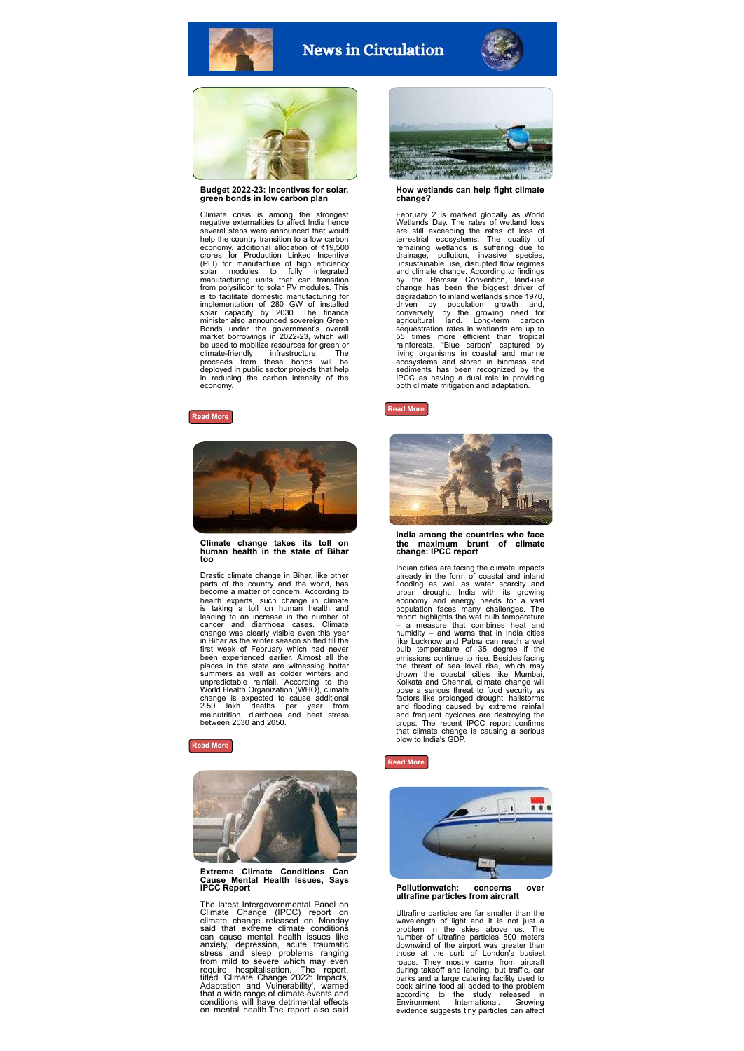

# **News in Circulation**





**Budget 2022-23: Incentives for solar, green bonds in low carbon plan**

Climate crisis is among the strongest negative externalities to affect India hence several steps were announced that would help the country transition to a low carbon economy. additional allocation of ₹19,500 crores for Production Linked Incentive (PLI) for manufacture of high efficiency<br>solar modules to fully integrated<br>manufacturing units that can transition<br>from polysilicon to solar PV modules. This<br>is to facilitate domestic manufacturing for<br>implementation of 28 Bonds under the government's overall market borrowings in 2022-23, which will be used to mobilize resources for green or climate-friendly infrastructure. The proceeds from these bonds will be deployed in public sector projects that help in reducing the carbon intensity of the economy.





**Climate change takes its toll on human health in the state of Bihar too**

Drastic climate change in Bihar, like other parts of the country and the world, has become a matter of concern. According to health experts, such change in climate is taking a toll on human health and leading to an increase in the number of cancer and diarrhoea cases. Climate<br>change was clearly visible even this year high in Bihar as the winter season shifted till the<br>first week of February which had never<br>been experienced earlier. Almost all the<br>places in th

**[Read More](https://timesofindia.indiatimes.com/city/patna/climate-change-takes-its-tollon-human-health-in-state-too/articleshow/89711753.cms)**



# **Extreme Climate Conditions Can Cause Mental Health Issues, Says IPCC Report**

The latest Intergovernmental Panel on<br>Climate Change (IPCC) report on<br>climate change released on Monday<br>said that extreme climate conditions<br>can cause mental health issues like<br>anxiety, depression, acute traumatic<br>stress a



**How wetlands can help fight climate change?**

February 2 is marked globally as World<br>Weltlands Day. The rates of weltland loss<br>are still exceeding the rates of loss of<br>terrestrial ecosystems. The quality of<br>remaining weltlands is suffering due to<br>drainage, pollution, degradation to inland wetlands since 1970,<br>driven by population growth and,<br>conversely, by the growing need for<br>agricultural land. Long-term carbon<br>sequestration rates in wetlands are up to<br>55 times more efficient than tro sediments has been recognized by the IPCC as having a dual role in providing both climate mitigation and adaptation.

## **[Read More](https://www.aljazeera.com/news/2022/2/2/infographic-how-wetlands-can-help-fight-climate-change-interactive)**



**India among the countries who face the maximum brunt of climate change: IPCC report**

Indian cities are facing the climate impacts already in the form of coastal and inland<br>flooding as well as water scarcity and<br>urban drought. India with its growing<br>economy and energy needs for a vast<br>population faces many challenges. The<br>report highlights the wet bul - a measure that combines heat and<br>humidity - and warms that in India cities<br>like Lucknow and Patha can reach a wet<br>bulb temperature of 35 degree if the<br>emissions continue to rise. Besides facing<br>the the threat of sea leve

#### **[Read More](https://www.news9live.com/science/india-among-the-countries-who-face-the-maximum-brunt-of-climate-change-ipcc-report-156304)**



**Pollutionwatch: concerns over ultrafine particles from aircraft**

Ultrafine particles are far smaller than the wavelength of light and it is not just a problem in the skies above us. The number of ultrafine particles 500 meters downwind of the airport was greater than<br>those at the curb of London's busiest<br>roads. They mostly came from aircraft<br>during takeoff and landing, but traffic, car<br>parks and a large catering facility used to<br>cook airline foo evidence suggests tiny particles can affect